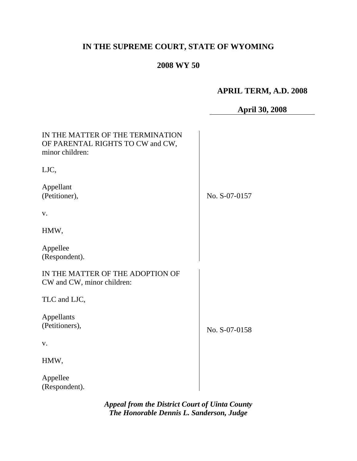# **IN THE SUPREME COURT, STATE OF WYOMING**

## **2008 WY 50**

## **APRIL TERM, A.D. 2008**

|                                                                                         | <b>April 30, 2008</b> |
|-----------------------------------------------------------------------------------------|-----------------------|
| IN THE MATTER OF THE TERMINATION<br>OF PARENTAL RIGHTS TO CW and CW,<br>minor children: |                       |
| LJC,                                                                                    |                       |
| Appellant<br>(Petitioner),                                                              | No. S-07-0157         |
| V.                                                                                      |                       |
| HMW,                                                                                    |                       |
| Appellee<br>(Respondent).                                                               |                       |
| IN THE MATTER OF THE ADOPTION OF<br>CW and CW, minor children:                          |                       |
| TLC and LJC,                                                                            |                       |
| Appellants<br>(Petitioners),                                                            | No. S-07-0158         |
| V.                                                                                      |                       |
| HMW,                                                                                    |                       |
| Appellee<br>(Respondent).                                                               |                       |

*Appeal from the District Court of Uinta County The Honorable Dennis L. Sanderson, Judge*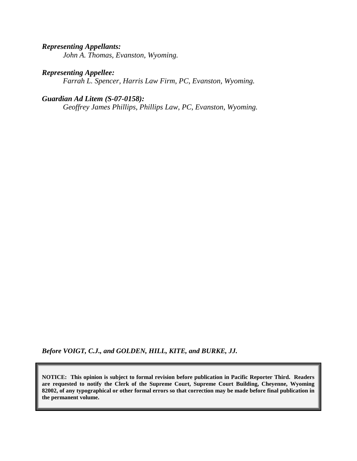#### *Representing Appellants:*

*John A. Thomas, Evanston, Wyoming.*

#### *Representing Appellee:*

*Farrah L. Spencer, Harris Law Firm, PC, Evanston, Wyoming.*

#### *Guardian Ad Litem (S-07-0158):*

*Geoffrey James Phillips, Phillips Law, PC, Evanston, Wyoming.*

*Before VOIGT, C.J., and GOLDEN, HILL, KITE, and BURKE, JJ.*

**NOTICE: This opinion is subject to formal revision before publication in Pacific Reporter Third. Readers are requested to notify the Clerk of the Supreme Court, Supreme Court Building, Cheyenne, Wyoming 82002, of any typographical or other formal errors so that correction may be made before final publication in the permanent volume.**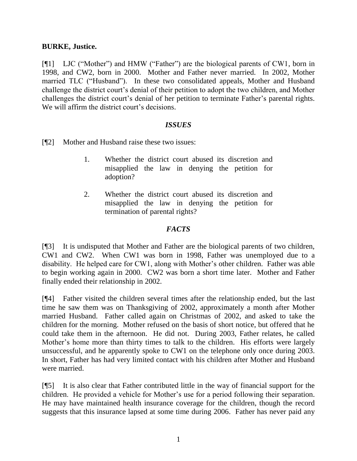#### **BURKE, Justice.**

[¶1] LJC ("Mother") and HMW ("Father") are the biological parents of CW1, born in 1998, and CW2, born in 2000. Mother and Father never married. In 2002, Mother married TLC ("Husband"). In these two consolidated appeals, Mother and Husband challenge the district court"s denial of their petition to adopt the two children, and Mother challenges the district court's denial of her petition to terminate Father's parental rights. We will affirm the district court's decisions.

#### *ISSUES*

[¶2] Mother and Husband raise these two issues:

- 1. Whether the district court abused its discretion and misapplied the law in denying the petition for adoption?
- 2. Whether the district court abused its discretion and misapplied the law in denying the petition for termination of parental rights?

#### *FACTS*

[¶3] It is undisputed that Mother and Father are the biological parents of two children, CW1 and CW2. When CW1 was born in 1998, Father was unemployed due to a disability. He helped care for CW1, along with Mother"s other children. Father was able to begin working again in 2000. CW2 was born a short time later. Mother and Father finally ended their relationship in 2002.

[¶4] Father visited the children several times after the relationship ended, but the last time he saw them was on Thanksgiving of 2002, approximately a month after Mother married Husband. Father called again on Christmas of 2002, and asked to take the children for the morning. Mother refused on the basis of short notice, but offered that he could take them in the afternoon. He did not. During 2003, Father relates, he called Mother's home more than thirty times to talk to the children. His efforts were largely unsuccessful, and he apparently spoke to CW1 on the telephone only once during 2003. In short, Father has had very limited contact with his children after Mother and Husband were married.

[¶5] It is also clear that Father contributed little in the way of financial support for the children. He provided a vehicle for Mother"s use for a period following their separation. He may have maintained health insurance coverage for the children, though the record suggests that this insurance lapsed at some time during 2006. Father has never paid any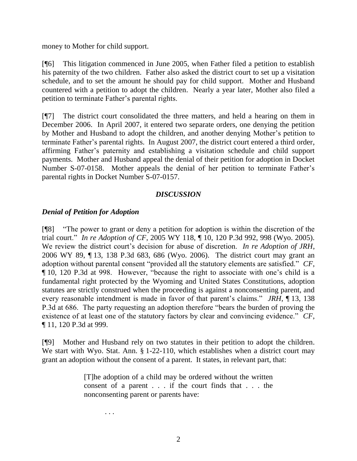money to Mother for child support.

[¶6] This litigation commenced in June 2005, when Father filed a petition to establish his paternity of the two children. Father also asked the district court to set up a visitation schedule, and to set the amount he should pay for child support. Mother and Husband countered with a petition to adopt the children. Nearly a year later, Mother also filed a petition to terminate Father"s parental rights.

[¶7] The district court consolidated the three matters, and held a hearing on them in December 2006. In April 2007, it entered two separate orders, one denying the petition by Mother and Husband to adopt the children, and another denying Mother"s petition to terminate Father"s parental rights. In August 2007, the district court entered a third order, affirming Father"s paternity and establishing a visitation schedule and child support payments. Mother and Husband appeal the denial of their petition for adoption in Docket Number S-07-0158. Mother appeals the denial of her petition to terminate Father"s parental rights in Docket Number S-07-0157.

#### *DISCUSSION*

### *Denial of Petition for Adoption*

[¶8] "The power to grant or deny a petition for adoption is within the discretion of the trial court." *In re Adoption of CF*, 2005 WY 118, ¶ 10, 120 P.3d 992, 998 (Wyo. 2005). We review the district court's decision for abuse of discretion. *In re Adoption of JRH*, 2006 WY 89, ¶ 13, 138 P.3d 683, 686 (Wyo. 2006). The district court may grant an adoption without parental consent "provided all the statutory elements are satisfied." *CF*, ¶ 10, 120 P.3d at 998. However, "because the right to associate with one"s child is a fundamental right protected by the Wyoming and United States Constitutions, adoption statutes are strictly construed when the proceeding is against a nonconsenting parent, and every reasonable intendment is made in favor of that parent's claims." *JRH*, 13, 138 P.3d at 686. The party requesting an adoption therefore "bears the burden of proving the existence of at least one of the statutory factors by clear and convincing evidence." *CF*, ¶ 11, 120 P.3d at 999.

[¶9] Mother and Husband rely on two statutes in their petition to adopt the children. We start with Wyo. Stat. Ann. § 1-22-110, which establishes when a district court may grant an adoption without the consent of a parent. It states, in relevant part, that:

> [T]he adoption of a child may be ordered without the written consent of a parent . . . if the court finds that . . . the nonconsenting parent or parents have:

> > . . .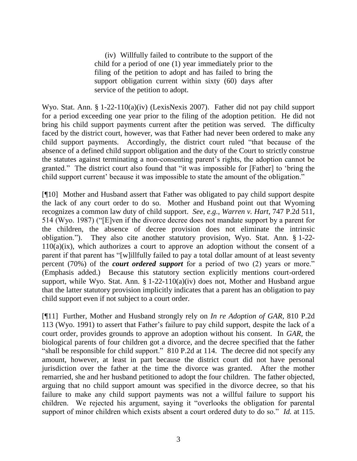(iv) Willfully failed to contribute to the support of the child for a period of one (1) year immediately prior to the filing of the petition to adopt and has failed to bring the support obligation current within sixty (60) days after service of the petition to adopt.

Wyo. Stat. Ann. § 1-22-110(a)(iv) (LexisNexis 2007). Father did not pay child support for a period exceeding one year prior to the filing of the adoption petition. He did not bring his child support payments current after the petition was served. The difficulty faced by the district court, however, was that Father had never been ordered to make any child support payments. Accordingly, the district court ruled "that because of the absence of a defined child support obligation and the duty of the Court to strictly construe the statutes against terminating a non-consenting parent"s rights, the adoption cannot be granted." The district court also found that "it was impossible for [Father] to "bring the child support current" because it was impossible to state the amount of the obligation."

[¶10] Mother and Husband assert that Father was obligated to pay child support despite the lack of any court order to do so. Mother and Husband point out that Wyoming recognizes a common law duty of child support. *See*, *e*.*g*., *Warren v. Hart*, 747 P.2d 511, 514 (Wyo. 1987) ("[E]ven if the divorce decree does not mandate support by a parent for the children, the absence of decree provision does not eliminate the intrinsic obligation."). They also cite another statutory provision, Wyo. Stat. Ann. § 1-22-  $110(a)(ix)$ , which authorizes a court to approve an adoption without the consent of a parent if that parent has "[w]illfully failed to pay a total dollar amount of at least seventy percent (70%) of the *court ordered support* for a period of two (2) years or more." (Emphasis added.) Because this statutory section explicitly mentions court-ordered support, while Wyo. Stat. Ann. § 1-22-110(a)(iv) does not, Mother and Husband argue that the latter statutory provision implicitly indicates that a parent has an obligation to pay child support even if not subject to a court order.

[¶11] Further, Mother and Husband strongly rely on *In re Adoption of GAR*, 810 P.2d 113 (Wyo. 1991) to assert that Father"s failure to pay child support, despite the lack of a court order, provides grounds to approve an adoption without his consent. In *GAR*, the biological parents of four children got a divorce, and the decree specified that the father "shall be responsible for child support." 810 P.2d at 114. The decree did not specify any amount, however, at least in part because the district court did not have personal jurisdiction over the father at the time the divorce was granted. After the mother remarried, she and her husband petitioned to adopt the four children. The father objected, arguing that no child support amount was specified in the divorce decree, so that his failure to make any child support payments was not a willful failure to support his children. We rejected his argument, saying it "overlooks the obligation for parental support of minor children which exists absent a court ordered duty to do so." *Id.* at 115.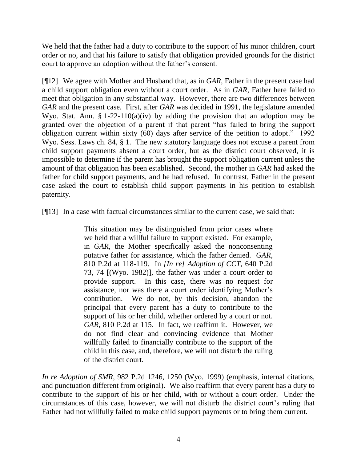We held that the father had a duty to contribute to the support of his minor children, court order or no, and that his failure to satisfy that obligation provided grounds for the district court to approve an adoption without the father"s consent.

[¶12] We agree with Mother and Husband that, as in *GAR*, Father in the present case had a child support obligation even without a court order. As in *GAR*, Father here failed to meet that obligation in any substantial way. However, there are two differences between *GAR* and the present case. First, after *GAR* was decided in 1991, the legislature amended Wyo. Stat. Ann.  $\S 1-22-110(a)(iv)$  by adding the provision that an adoption may be granted over the objection of a parent if that parent "has failed to bring the support obligation current within sixty (60) days after service of the petition to adopt." 1992 Wyo. Sess. Laws ch. 84, § 1. The new statutory language does not excuse a parent from child support payments absent a court order, but as the district court observed, it is impossible to determine if the parent has brought the support obligation current unless the amount of that obligation has been established. Second, the mother in *GAR* had asked the father for child support payments, and he had refused. In contrast, Father in the present case asked the court to establish child support payments in his petition to establish paternity.

[¶13] In a case with factual circumstances similar to the current case, we said that:

This situation may be distinguished from prior cases where we held that a willful failure to support existed. For example, in *GAR*, the Mother specifically asked the nonconsenting putative father for assistance, which the father denied. *GAR,*  810 P.2d at 118-119. In *[In re] Adoption of CCT*, 640 P.2d 73, 74 [(Wyo. 1982)], the father was under a court order to provide support. In this case, there was no request for assistance, nor was there a court order identifying Mother"s contribution. We do not, by this decision, abandon the principal that every parent has a duty to contribute to the support of his or her child, whether ordered by a court or not. *GAR*, 810 P.2d at 115. In fact, we reaffirm it. However, we do not find clear and convincing evidence that Mother willfully failed to financially contribute to the support of the child in this case, and, therefore, we will not disturb the ruling of the district court.

*In re Adoption of SMR*, 982 P.2d 1246, 1250 (Wyo. 1999) (emphasis, internal citations, and punctuation different from original). We also reaffirm that every parent has a duty to contribute to the support of his or her child, with or without a court order. Under the circumstances of this case, however, we will not disturb the district court's ruling that Father had not willfully failed to make child support payments or to bring them current.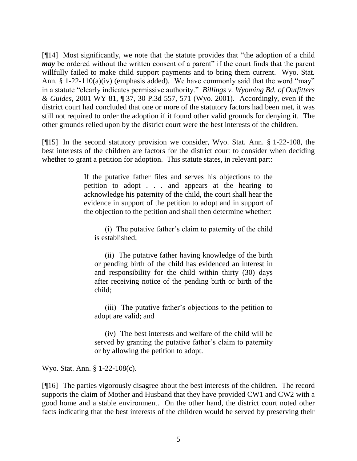[¶14] Most significantly, we note that the statute provides that "the adoption of a child *may* be ordered without the written consent of a parent" if the court finds that the parent willfully failed to make child support payments and to bring them current. Wyo. Stat. Ann. § 1-22-110(a)(iv) (emphasis added). We have commonly said that the word "may" in a statute "clearly indicates permissive authority." *Billings v. Wyoming Bd. of Outfitters & Guides*, 2001 WY 81, ¶ 37, 30 P.3d 557, 571 (Wyo. 2001). Accordingly, even if the district court had concluded that one or more of the statutory factors had been met, it was still not required to order the adoption if it found other valid grounds for denying it. The other grounds relied upon by the district court were the best interests of the children.

[¶15] In the second statutory provision we consider, Wyo. Stat. Ann. § 1-22-108, the best interests of the children are factors for the district court to consider when deciding whether to grant a petition for adoption. This statute states, in relevant part:

> If the putative father files and serves his objections to the petition to adopt . . . and appears at the hearing to acknowledge his paternity of the child, the court shall hear the evidence in support of the petition to adopt and in support of the objection to the petition and shall then determine whether:

(i) The putative father"s claim to paternity of the child is established;

(ii) The putative father having knowledge of the birth or pending birth of the child has evidenced an interest in and responsibility for the child within thirty (30) days after receiving notice of the pending birth or birth of the child;

(iii) The putative father"s objections to the petition to adopt are valid; and

(iv) The best interests and welfare of the child will be served by granting the putative father's claim to paternity or by allowing the petition to adopt.

Wyo. Stat. Ann. § 1-22-108(c).

[¶16] The parties vigorously disagree about the best interests of the children. The record supports the claim of Mother and Husband that they have provided CW1 and CW2 with a good home and a stable environment. On the other hand, the district court noted other facts indicating that the best interests of the children would be served by preserving their